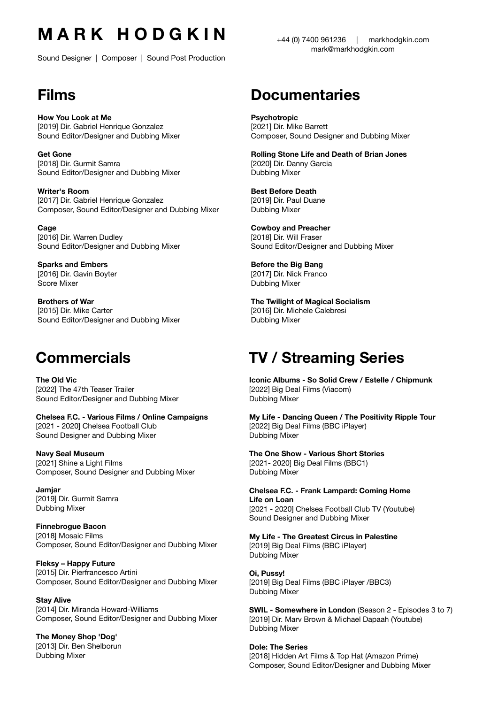# **M A R K H O D G K I N**

Sound Designer | Composer | Sound Post Production

# **Films**

**How You Look at Me** [2019] Dir. Gabriel Henrique Gonzalez Sound Editor/Designer and Dubbing Mixer

**Get Gone** [2018] Dir. Gurmit Samra Sound Editor/Designer and Dubbing Mixer

**Writer's Room** [2017] Dir. Gabriel Henrique Gonzalez Composer, Sound Editor/Designer and Dubbing Mixer

**Cage** [2016] Dir. Warren Dudley Sound Editor/Designer and Dubbing Mixer

**Sparks and Embers** [2016] Dir. Gavin Boyter Score Mixer

**Brothers of War** [2015] Dir. Mike Carter Sound Editor/Designer and Dubbing Mixer

### **Commercials**

**The Old Vic** [2022] The 47th Teaser Trailer Sound Editor/Designer and Dubbing Mixer

**Chelsea F.C. - Various Films / Online Campaigns** [2021 - 2020] Chelsea Football Club Sound Designer and Dubbing Mixer

#### **Navy Seal Museum**

[2021] Shine a Light Films Composer, Sound Designer and Dubbing Mixer

**Jamjar** [2019] Dir. Gurmit Samra Dubbing Mixer

**Finnebrogue Bacon** [2018] Mosaic Films Composer, Sound Editor/Designer and Dubbing Mixer

**Fleksy – Happy Future** [2015] Dir. Pierfrancesco Artini Composer, Sound Editor/Designer and Dubbing Mixer

**Stay Alive** [2014] Dir. Miranda Howard-Williams Composer, Sound Editor/Designer and Dubbing Mixer

**The Money Shop 'Dog'** [2013] Dir. Ben Shelborun Dubbing Mixer

#### +44 (0) 7400 961236 | [markhodgkin.com](http://markhodgkin.com) [mark@markhodgkin.com](mailto:mark@markhodgkin.com)

### **Documentaries**

**Psychotropic** [2021] Dir. Mike Barrett Composer, Sound Designer and Dubbing Mixer

**Rolling Stone Life and Death of Brian Jones** [2020] Dir. Danny Garcia Dubbing Mixer

**Best Before Death** [2019] Dir. Paul Duane Dubbing Mixer

**Cowboy and Preacher**  [2018] Dir. Will Fraser Sound Editor/Designer and Dubbing Mixer

**Before the Big Bang** [2017] Dir. Nick Franco Dubbing Mixer

**The Twilight of Magical Socialism** [2016] Dir. Michele Calebresi Dubbing Mixer

# **TV / Streaming Series**

**Iconic Albums - So Solid Crew / Estelle / Chipmunk**  [2022] Big Deal Films (Viacom) Dubbing Mixer

**My Life - Dancing Queen / The Positivity Ripple Tour**  [2022] Big Deal Films (BBC iPlayer) Dubbing Mixer

**The One Show - Various Short Stories**  [2021- 2020] Big Deal Films (BBC1) Dubbing Mixer

**Chelsea F.C. - Frank Lampard: Coming Home Life on Loan** [2021 - 2020] Chelsea Football Club TV (Youtube) Sound Designer and Dubbing Mixer

**My Life - The Greatest Circus in Palestine** 

[2019] Big Deal Films (BBC iPlayer) Dubbing Mixer

**Oi, Pussy!** [2019] Big Deal Films (BBC iPlayer /BBC3) Dubbing Mixer

**SWIL - Somewhere in London** (Season 2 - Episodes 3 to 7) [2019] Dir. Marv Brown & Michael Dapaah (Youtube) Dubbing Mixer

**Dole: The Series** [2018] Hidden Art Films & Top Hat (Amazon Prime) Composer, Sound Editor/Designer and Dubbing Mixer